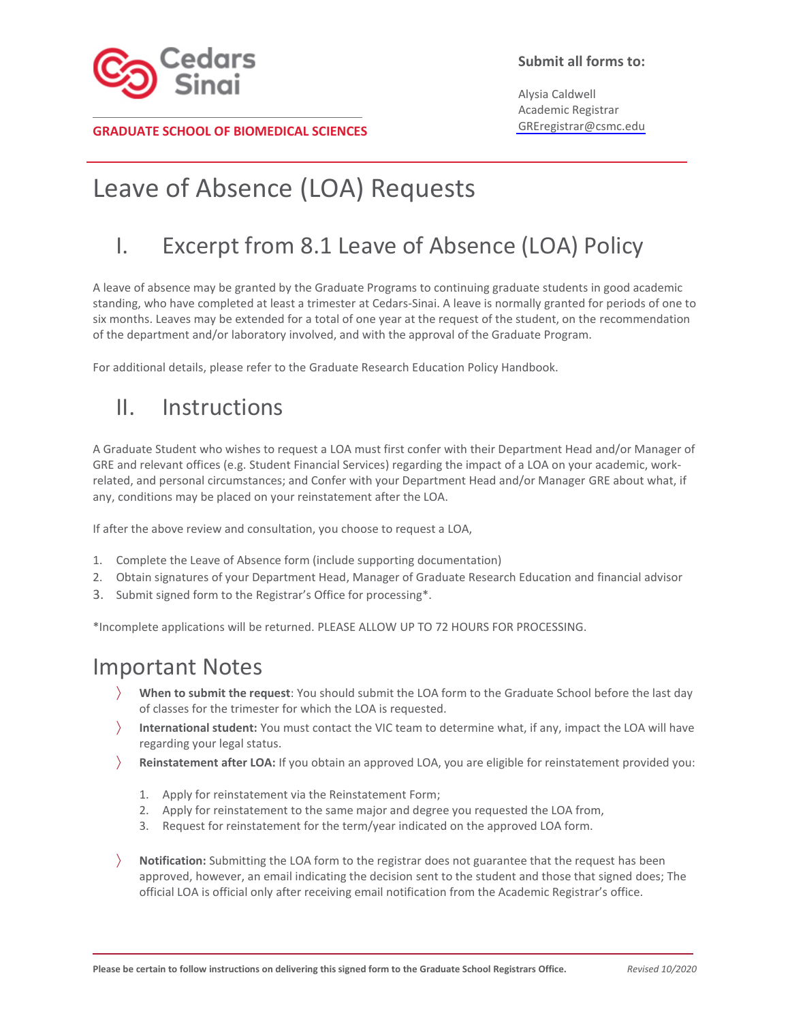

### **Submit all forms to:**

Alysia Caldwell Academic Registrar GREregistrar@csmc.edu

#### **GRADUATE SCHOOL OF BIOMEDICAL SCIENCES**

## Leave of Absence (LOA) Requests

## I. Excerpt from 8.1 Leave of Absence (LOA) Policy

A leave of absence may be granted by the Graduate Programs to continuing graduate students in good academic standing, who have completed at least a trimester at Cedars-Sinai. A leave is normally granted for periods of one to six months. Leaves may be extended for a total of one year at the request of the student, on the recommendation of the department and/or laboratory involved, and with the approval of the Graduate Program.

For additional details, please refer to the Graduate Research Education Policy Handbook.

### II. Instructions

A Graduate Student who wishes to request a LOA must first confer with their Department Head and/or Manager of GRE and relevant offices (e.g. Student Financial Services) regarding the impact of a LOA on your academic, workrelated, and personal circumstances; and Confer with your Department Head and/or Manager GRE about what, if any, conditions may be placed on your reinstatement after the LOA.

If after the above review and consultation, you choose to request a LOA,

- 1. Complete the Leave of Absence form (include supporting documentation)
- 2. Obtain signatures of your Department Head, Manager of Graduate Research Education and financial advisor
- 3. Submit signed form to the Registrar's Office for processing\*.

\*Incomplete applications will be returned. PLEASE ALLOW UP TO 72 HOURS FOR PROCESSING.

### Important Notes

- **When to submit the request**: You should submit the LOA form to the Graduate School before the last day of classes for the trimester for which the LOA is requested.
- **International student:** You must contact the VIC team to determine what, if any, impact the LOA will have regarding your legal status.
- **Reinstatement after LOA:** If you obtain an approved LOA, you are eligible for reinstatement provided you:
	- 1. Apply for reinstatement via the Reinstatement Form;
	- 2. Apply for reinstatement to the same major and degree you requested the LOA from,
	- 3. Request for reinstatement for the term/year indicated on the approved LOA form.
- **Notification:** Submitting the LOA form to the registrar does not guarantee that the request has been approved, however, an email indicating the decision sent to the student and those that signed does; The official LOA is official only after receiving email notification from the Academic Registrar's office.